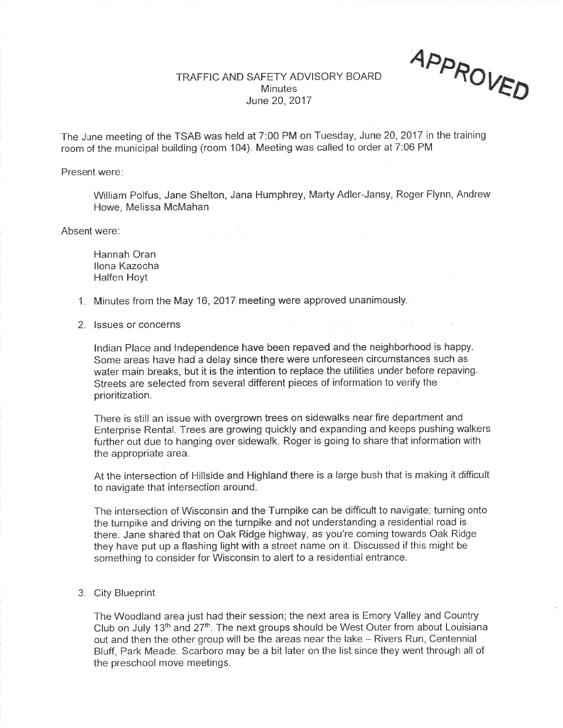## TRAFFIC AND SAFETY ADVISORY BOARD**Minutes** June 20,2017

App<sub>p</sub> UVER

The June meeting of the TSAB was held at 7:00 PM on Tuesday, June 20, 2017 in the training room of the municipal building (room 104). Meeting was called to order at 7:06 PM

Present were:

William Polfus, Jane Shelton, Jana Humphrey, Marty Adler-Jansy, Roger Flynn, AndrewHowe, Melissa McMahan

Absent were:

Hannah Oran llona KazochaHalfen Hoyt

- 1. Minutes from the May 16, 2017 meeting were approved unanimously.
- 2. lssues or concerns

lndian Place and lndependence have been repaved and the neighborhood is happy. Some areas have had a delay since there were unforeseen circumstances such as water main breaks, but it is the intention to replace the utilities under before repavingStreets are selected from several different pieces of information to verify theprioritization.

There is still an issue with overgrown trees on sidewalks near fire department and Enterprise Rental. Trees are growing quickly and expanding and keeps pushing walkersfurther out due to hanging over sidewalk. Roger is going to share that information withthe appropriate area.

At the intersection of Hillside and Highland there is a large bush that is making it difficultto navigate that intersection around.

The intersection of Wisconsin and the Turnpike can be difficult to navigate; turning ontothe turnpike and driving on the turnpike and not understanding a residential road is there. Jane shared that on Oak Ridge highway, as you're coming towards Oak Ridgethey have put up a flashing light with a street name on it. Discussed if this might besomething to consider for Wisconsin to alert to a residential entrance.

3. City Blueprint

The Woodland area just had their session; the next area is Emory Valley and CountryClub on July 13<sup>th</sup> and 27<sup>th</sup>. The next groups should be West Outer from about Louisiana out and then the other group will be the areas near the lake - Rivers Run, Centennial Bluff, Park Meade. Scarboro may be a bit later on the list since they went through all ofthe preschool move meetings.